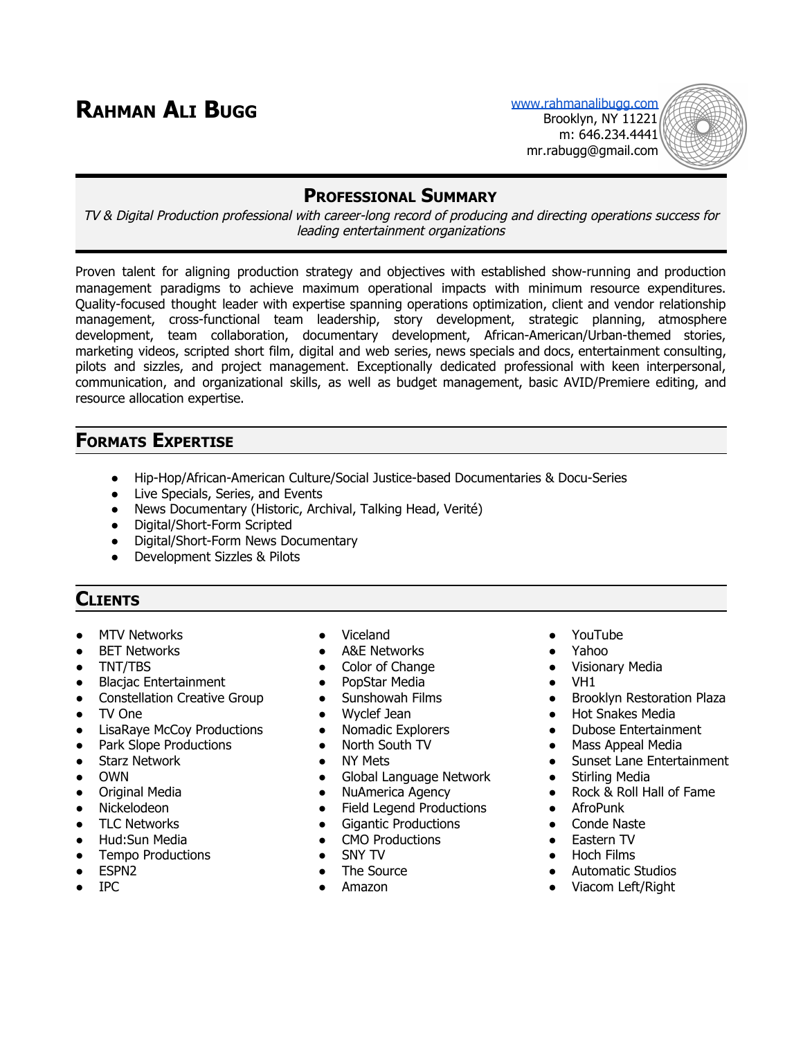# **RAHMAN ALI BUGG** [www.rahmanalibugg.com](http://www.rahmanalibugg.com/)

Brooklyn, NY 11221 m: 646.234.4441 mr.rabugg@gmail.com



#### **PROFESSIONAL SUMMARY**

TV & Digital Production professional with career-long record of producing and directing operations success for leading entertainment organizations

Proven talent for aligning production strategy and objectives with established show-running and production management paradigms to achieve maximum operational impacts with minimum resource expenditures. Quality-focused thought leader with expertise spanning operations optimization, client and vendor relationship management, cross-functional team leadership, story development, strategic planning, atmosphere development, team collaboration, documentary development, African-American/Urban-themed stories, marketing videos, scripted short film, digital and web series, news specials and docs, entertainment consulting, pilots and sizzles, and project management. Exceptionally dedicated professional with keen interpersonal, communication, and organizational skills, as well as budget management, basic AVID/Premiere editing, and resource allocation expertise.

#### **FORMATS EXPERTISE**

- Hip-Hop/African-American Culture/Social Justice-based Documentaries & Docu-Series
- Live Specials, Series, and Events
- News Documentary (Historic, Archival, Talking Head, Verité)
- Digital/Short-Form Scripted
- Digital/Short-Form News Documentary
- Development Sizzles & Pilots

## **CLIENTS**

- MTV Networks Viceland YouTube
- 
- 
- Blacjac Entertainment
- Constellation Creative Group
- TV One
- **LisaRaye McCoy Productions**
- Park Slope Productions
- Starz Network
- OWN
- Original Media
- Nickelodeon
- TLC Networks
- Hud:Sun Media
- **Tempo Productions**
- ESPN2
- IPC
- 
- BET Networks A&E Networks ● Yahoo
- TNT/TBS Color of Change Visionary Media
	- PopStar Media
	- Sunshowah Films
	- Wyclef Jean
	- Nomadic Explorers
	- North South TV
	- NY Mets
	- Global Language Network
	- NuAmerica Agency
	- Field Legend Productions
	- Gigantic Productions
	- CMO Productions
	- SNY TV
	- The Source
	- Amazon
- 
- -
- VH1
- Brooklyn Restoration Plaza
- Hot Snakes Media
- Dubose Entertainment
- Mass Appeal Media
- Sunset Lane Entertainment
- Stirling Media
- Rock & Roll Hall of Fame
- AfroPunk
- Conde Naste
- Eastern TV
- Hoch Films
- Automatic Studios
- Viacom Left/Right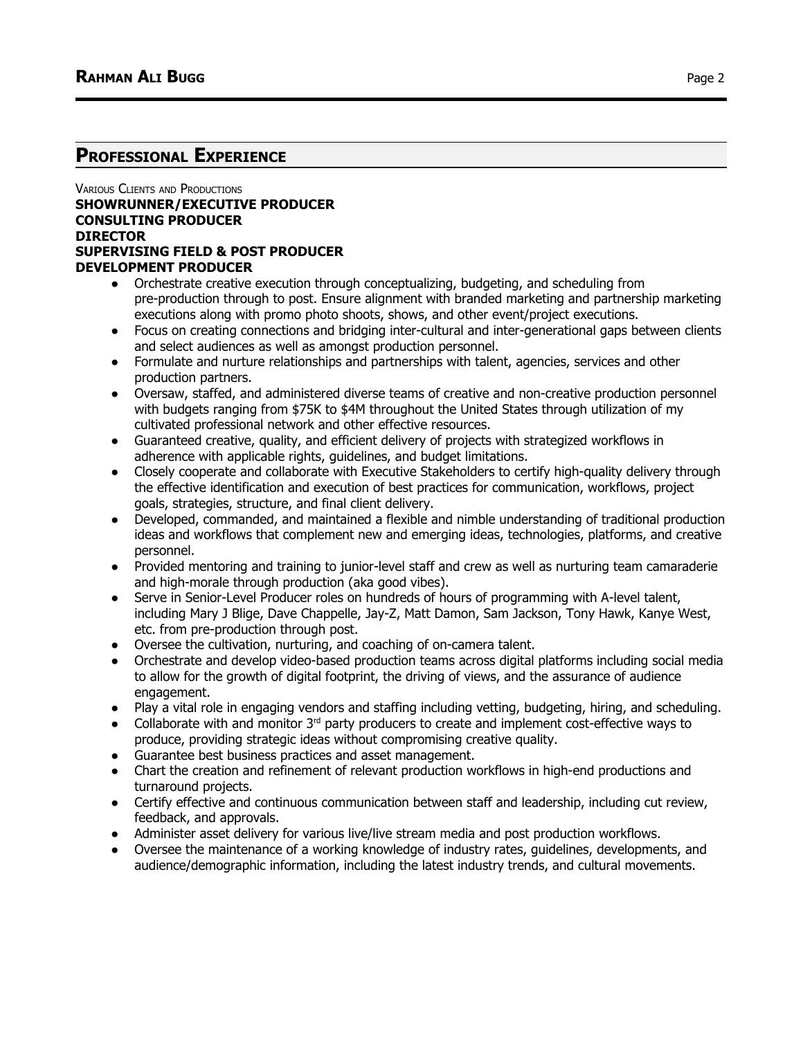#### **PROFESSIONAL EXPERIENCE**

#### VARIOUS CLIENTS AND PRODUCTIONS **SHOWRUNNER/EXECUTIVE PRODUCER CONSULTING PRODUCER DIRECTOR SUPERVISING FIELD & POST PRODUCER DEVELOPMENT PRODUCER**

- Orchestrate creative execution through conceptualizing, budgeting, and scheduling from pre-production through to post. Ensure alignment with branded marketing and partnership marketing executions along with promo photo shoots, shows, and other event/project executions.
- Focus on creating connections and bridging inter-cultural and inter-generational gaps between clients and select audiences as well as amongst production personnel.
- Formulate and nurture relationships and partnerships with talent, agencies, services and other production partners.
- Oversaw, staffed, and administered diverse teams of creative and non-creative production personnel with budgets ranging from \$75K to \$4M throughout the United States through utilization of my cultivated professional network and other effective resources.
- Guaranteed creative, quality, and efficient delivery of projects with strategized workflows in adherence with applicable rights, guidelines, and budget limitations.
- Closely cooperate and collaborate with Executive Stakeholders to certify high-quality delivery through the effective identification and execution of best practices for communication, workflows, project goals, strategies, structure, and final client delivery.
- Developed, commanded, and maintained a flexible and nimble understanding of traditional production ideas and workflows that complement new and emerging ideas, technologies, platforms, and creative personnel.
- Provided mentoring and training to junior-level staff and crew as well as nurturing team camaraderie and high-morale through production (aka good vibes).
- Serve in Senior-Level Producer roles on hundreds of hours of programming with A-level talent, including Mary J Blige, Dave Chappelle, Jay-Z, Matt Damon, Sam Jackson, Tony Hawk, Kanye West, etc. from pre-production through post.
- Oversee the cultivation, nurturing, and coaching of on-camera talent.
- Orchestrate and develop video-based production teams across digital platforms including social media to allow for the growth of digital footprint, the driving of views, and the assurance of audience engagement.
- Play a vital role in engaging vendors and staffing including vetting, budgeting, hiring, and scheduling.
- Collaborate with and monitor  $3<sup>rd</sup>$  party producers to create and implement cost-effective ways to produce, providing strategic ideas without compromising creative quality.
- Guarantee best business practices and asset management.
- Chart the creation and refinement of relevant production workflows in high-end productions and turnaround projects.
- Certify effective and continuous communication between staff and leadership, including cut review, feedback, and approvals.
- Administer asset delivery for various live/live stream media and post production workflows.
- Oversee the maintenance of a working knowledge of industry rates, guidelines, developments, and audience/demographic information, including the latest industry trends, and cultural movements.